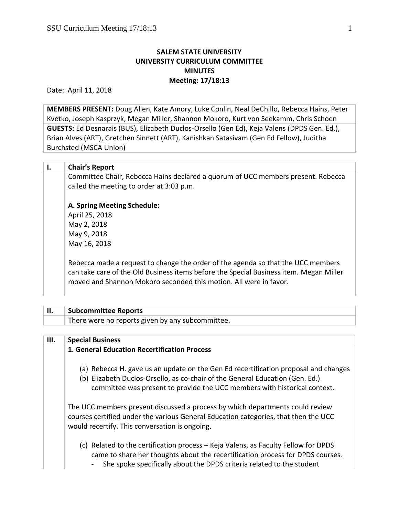## **SALEM STATE UNIVERSITY UNIVERSITY CURRICULUM COMMITTEE MINUTES Meeting: 17/18:13**

Date: April 11, 2018

**MEMBERS PRESENT:** Doug Allen, Kate Amory, Luke Conlin, Neal DeChillo, Rebecca Hains, Peter Kvetko, Joseph Kasprzyk, Megan Miller, Shannon Mokoro, Kurt von Seekamm, Chris Schoen **GUESTS:** Ed Desnarais (BUS), Elizabeth Duclos-Orsello (Gen Ed), Keja Valens (DPDS Gen. Ed.), Brian Alves (ART), Gretchen Sinnett (ART), Kanishkan Satasivam (Gen Ed Fellow), Juditha Burchsted (MSCA Union)

| Ι. | <b>Chair's Report</b>                                                                                                                                                                                                                           |
|----|-------------------------------------------------------------------------------------------------------------------------------------------------------------------------------------------------------------------------------------------------|
|    | Committee Chair, Rebecca Hains declared a quorum of UCC members present. Rebecca<br>called the meeting to order at 3:03 p.m.                                                                                                                    |
|    | A. Spring Meeting Schedule:                                                                                                                                                                                                                     |
|    | April 25, 2018                                                                                                                                                                                                                                  |
|    | May 2, 2018                                                                                                                                                                                                                                     |
|    | May 9, 2018                                                                                                                                                                                                                                     |
|    | May 16, 2018                                                                                                                                                                                                                                    |
|    | Rebecca made a request to change the order of the agenda so that the UCC members<br>can take care of the Old Business items before the Special Business item. Megan Miller<br>moved and Shannon Mokoro seconded this motion. All were in favor. |
|    |                                                                                                                                                                                                                                                 |

| II.  | <b>Subcommittee Reports</b>                      |
|------|--------------------------------------------------|
|      | There were no reports given by any subcommittee. |
|      |                                                  |
| III. | <b>Special Business</b>                          |

| <b>SPECIAL DUSILIESS</b>                                                                                                                                                                                                                          |
|---------------------------------------------------------------------------------------------------------------------------------------------------------------------------------------------------------------------------------------------------|
| 1. General Education Recertification Process                                                                                                                                                                                                      |
| (a) Rebecca H. gave us an update on the Gen Ed recertification proposal and changes<br>(b) Elizabeth Duclos-Orsello, as co-chair of the General Education (Gen. Ed.)<br>committee was present to provide the UCC members with historical context. |
| The UCC members present discussed a process by which departments could review<br>courses certified under the various General Education categories, that then the UCC<br>would recertify. This conversation is ongoing.                            |
| (c) Related to the certification process – Keja Valens, as Faculty Fellow for DPDS<br>came to share her thoughts about the recertification process for DPDS courses.<br>She spoke specifically about the DPDS criteria related to the student     |
|                                                                                                                                                                                                                                                   |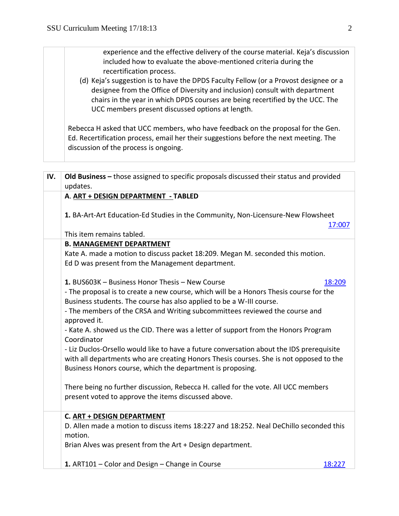experience and the effective delivery of the course material. Keja's discussion included how to evaluate the above-mentioned criteria during the recertification process. (d) Keja's suggestion is to have the DPDS Faculty Fellow (or a Provost designee or a designee from the Office of Diversity and inclusion) consult with department chairs in the year in which DPDS courses are being recertified by the UCC. The UCC members present discussed options at length. Rebecca H asked that UCC members, who have feedback on the proposal for the Gen. Ed. Recertification process, email her their suggestions before the next meeting. The discussion of the process is ongoing. **IV. Old Business –** those assigned to specific proposals discussed their status and provided updates. **A**. **ART + DESIGN DEPARTMENT - TABLED 1.** BA-Art-Art Education-Ed Studies in the Community, Non-Licensure-New Flowsheet [17:007](https://polaris.salemstate.edu/governance/?trackingNum=17:007&search=all) This item remains tabled. **B. MANAGEMENT DEPARTMENT**  Kate A. made a motion to discuss packet 18:209. Megan M. seconded this motion. Ed D was present from the Management department. **1.** BUS603K – Business Honor Thesis – New Course 18:209 - The proposal is to create a new course, which will be a Honors Thesis course for the Business students. The course has also applied to be a W-III course. - The members of the CRSA and Writing subcommittees reviewed the course and approved it. - Kate A. showed us the CID. There was a letter of support from the Honors Program Coordinator - Liz Duclos-Orsello would like to have a future conversation about the IDS prerequisite with all departments who are creating Honors Thesis courses. She is not opposed to the Business Honors course, which the department is proposing. There being no further discussion, Rebecca H. called for the vote. All UCC members present voted to approve the items discussed above. **C. ART + DESIGN DEPARTMENT** D. Allen made a motion to discuss items 18:227 and 18:252. Neal DeChillo seconded this motion. Brian Alves was present from the Art + Design department. **1.** ART101 – Color and Design – Change in Course [18:227](https://polaris.salemstate.edu/governance/?trackingNum=18:227&search=all)